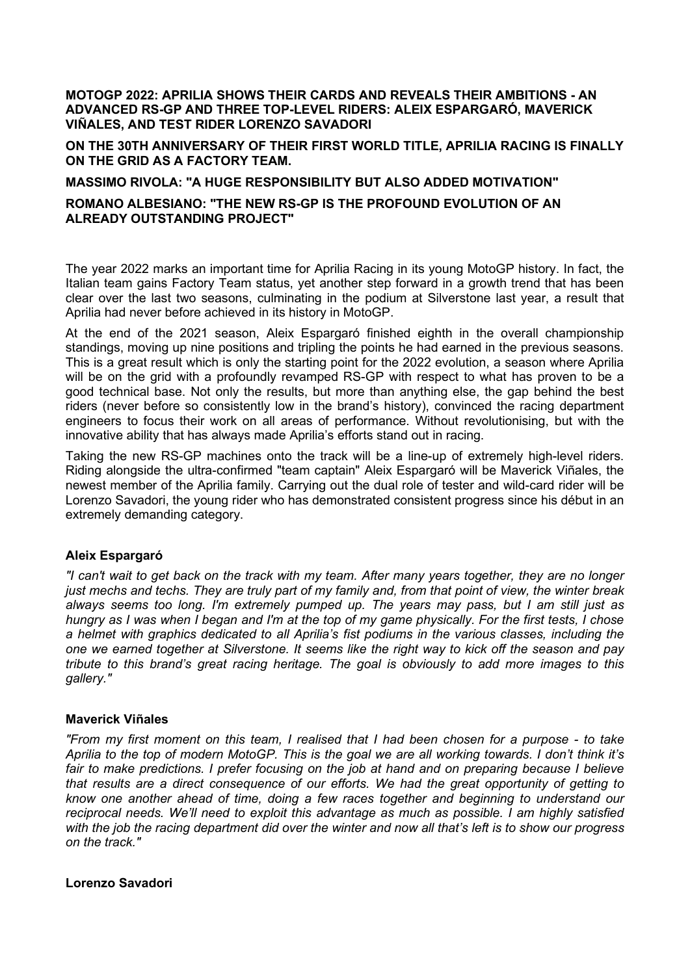**MOTOGP 2022: APRILIA SHOWS THEIR CARDS AND REVEALS THEIR AMBITIONS - AN ADVANCED RS-GP AND THREE TOP-LEVEL RIDERS: ALEIX ESPARGARÓ, MAVERICK VIÑALES, AND TEST RIDER LORENZO SAVADORI**

**ON THE 30TH ANNIVERSARY OF THEIR FIRST WORLD TITLE, APRILIA RACING IS FINALLY ON THE GRID AS A FACTORY TEAM.**

#### **MASSIMO RIVOLA: "A HUGE RESPONSIBILITY BUT ALSO ADDED MOTIVATION"**

## **ROMANO ALBESIANO: "THE NEW RS-GP IS THE PROFOUND EVOLUTION OF AN ALREADY OUTSTANDING PROJECT"**

The year 2022 marks an important time for Aprilia Racing in its young MotoGP history. In fact, the Italian team gains Factory Team status, yet another step forward in a growth trend that has been clear over the last two seasons, culminating in the podium at Silverstone last year, a result that Aprilia had never before achieved in its history in MotoGP.

At the end of the 2021 season, Aleix Espargaró finished eighth in the overall championship standings, moving up nine positions and tripling the points he had earned in the previous seasons. This is a great result which is only the starting point for the 2022 evolution, a season where Aprilia will be on the grid with a profoundly revamped RS-GP with respect to what has proven to be a good technical base. Not only the results, but more than anything else, the gap behind the best riders (never before so consistently low in the brand's history), convinced the racing department engineers to focus their work on all areas of performance. Without revolutionising, but with the innovative ability that has always made Aprilia's efforts stand out in racing.

Taking the new RS-GP machines onto the track will be a line-up of extremely high-level riders. Riding alongside the ultra-confirmed "team captain" Aleix Espargaró will be Maverick Viñales, the newest member of the Aprilia family. Carrying out the dual role of tester and wild-card rider will be Lorenzo Savadori, the young rider who has demonstrated consistent progress since his début in an extremely demanding category.

# **Aleix Espargaró**

*"I can't wait to get back on the track with my team. After many years together, they are no longer just mechs and techs. They are truly part of my family and, from that point of view, the winter break always seems too long. I'm extremely pumped up. The years may pass, but I am still just as hungry as I was when I began and I'm at the top of my game physically. For the first tests, I chose a helmet with graphics dedicated to all Aprilia's fist podiums in the various classes, including the one we earned together at Silverstone. It seems like the right way to kick off the season and pay tribute to this brand's great racing heritage. The goal is obviously to add more images to this gallery."*

#### **Maverick Viñales**

*"From my first moment on this team, I realised that I had been chosen for a purpose - to take Aprilia to the top of modern MotoGP. This is the goal we are all working towards. I don't think it's fair to make predictions. I prefer focusing on the job at hand and on preparing because I believe that results are a direct consequence of our efforts. We had the great opportunity of getting to know one another ahead of time, doing a few races together and beginning to understand our reciprocal needs. We'll need to exploit this advantage as much as possible. I am highly satisfied with the job the racing department did over the winter and now all that's left is to show our progress on the track."*

# **Lorenzo Savadori**